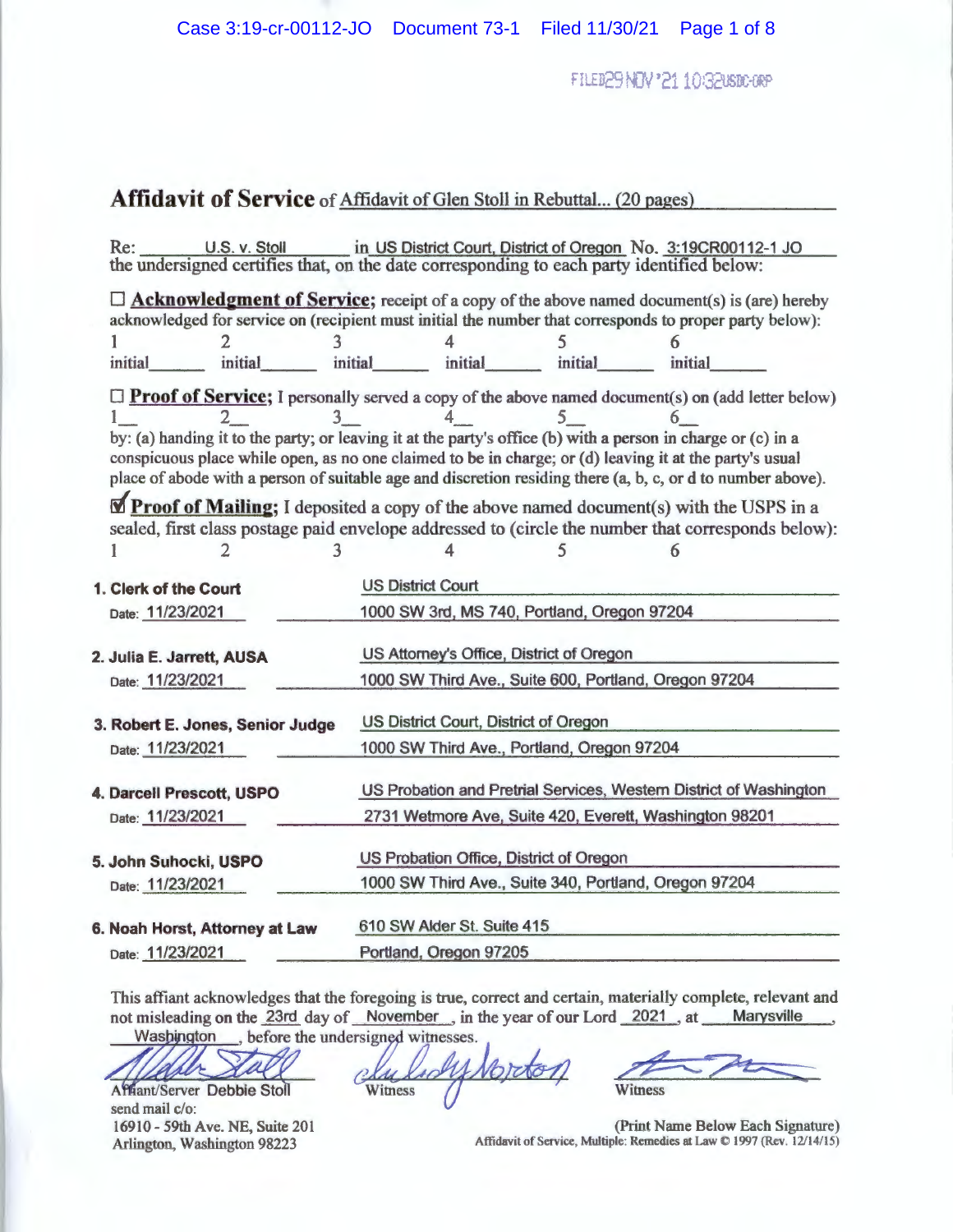FILED29NDV'2110G2USDC-0RP

# **Affidavit of Service** of Affidavit of Glen Stoll in Rebuttal... (20 pages)

| U.S. v. Stoll<br>Re:                                                                                                                                                                                                                                                                                                                        |                          |                                                       |         | in US District Court, District of Oregon No. 3:19CR00112-1 JO      |  |  |
|---------------------------------------------------------------------------------------------------------------------------------------------------------------------------------------------------------------------------------------------------------------------------------------------------------------------------------------------|--------------------------|-------------------------------------------------------|---------|--------------------------------------------------------------------|--|--|
| the undersigned certifies that, on the date corresponding to each party identified below:                                                                                                                                                                                                                                                   |                          |                                                       |         |                                                                    |  |  |
| $\Box$ <b>Acknowledgment of Service</b> ; receipt of a copy of the above named document(s) is (are) hereby<br>acknowledged for service on (recipient must initial the number that corresponds to proper party below):                                                                                                                       |                          |                                                       |         |                                                                    |  |  |
|                                                                                                                                                                                                                                                                                                                                             |                          |                                                       |         |                                                                    |  |  |
| initial<br>initial                                                                                                                                                                                                                                                                                                                          | initial                  | initial                                               | initial | initial                                                            |  |  |
| $\Box$ <b>Proof of Service</b> ; I personally served a copy of the above named document(s) on (add letter below)<br>by: (a) handing it to the party; or leaving it at the party's office (b) with a person in charge or (c) in a<br>conspicuous place while open, as no one claimed to be in charge; or (d) leaving it at the party's usual |                          |                                                       |         |                                                                    |  |  |
| place of abode with a person of suitable age and discretion residing there (a, b, c, or d to number above).                                                                                                                                                                                                                                 |                          |                                                       |         |                                                                    |  |  |
| Proof of Mailing; I deposited a copy of the above named document(s) with the USPS in a<br>sealed, first class postage paid envelope addressed to (circle the number that corresponds below):                                                                                                                                                |                          |                                                       |         |                                                                    |  |  |
|                                                                                                                                                                                                                                                                                                                                             |                          |                                                       |         |                                                                    |  |  |
| 1. Clerk of the Court                                                                                                                                                                                                                                                                                                                       | <b>US District Court</b> |                                                       |         |                                                                    |  |  |
| Date: 11/23/2021                                                                                                                                                                                                                                                                                                                            |                          | 1000 SW 3rd, MS 740, Portland, Oregon 97204           |         |                                                                    |  |  |
| 2. Julia E. Jarrett, AUSA                                                                                                                                                                                                                                                                                                                   |                          | US Attorney's Office, District of Oregon              |         |                                                                    |  |  |
| Date: 11/23/2021                                                                                                                                                                                                                                                                                                                            |                          | 1000 SW Third Ave., Suite 600, Portland, Oregon 97204 |         |                                                                    |  |  |
| 3. Robert E. Jones, Senior Judge                                                                                                                                                                                                                                                                                                            |                          | US District Court, District of Oregon                 |         |                                                                    |  |  |
| Date: 11/23/2021                                                                                                                                                                                                                                                                                                                            |                          | 1000 SW Third Ave., Portland, Oregon 97204            |         |                                                                    |  |  |
| 4. Darcell Prescott, USPO                                                                                                                                                                                                                                                                                                                   |                          |                                                       |         | US Probation and Pretrial Services, Western District of Washington |  |  |
| Date: 11/23/2021                                                                                                                                                                                                                                                                                                                            |                          |                                                       |         | 2731 Wetmore Ave, Suite 420, Everett, Washington 98201             |  |  |
| 5. John Suhocki, USPO                                                                                                                                                                                                                                                                                                                       |                          | US Probation Office, District of Oregon               |         |                                                                    |  |  |
| Date: 11/23/2021                                                                                                                                                                                                                                                                                                                            |                          | 1000 SW Third Ave., Suite 340, Portland, Oregon 97204 |         |                                                                    |  |  |
| 6. Noah Horst, Attorney at Law                                                                                                                                                                                                                                                                                                              |                          | 610 SW Alder St. Suite 415                            |         |                                                                    |  |  |
| Date: 11/23/2021                                                                                                                                                                                                                                                                                                                            |                          | Portland, Oregon 97205                                |         |                                                                    |  |  |

This affiant acknowledges that the foregoing is true, correct and certain, materia11y complete, relevant and not misleading on the 23rd day of November, in the year of our Lord 2021, at Marysville Was bington , before the undersigned witnesses.

'M

Affiant/Server Debbie Stoll send mail c/o: 16910- 59th Ave. NE, Suite 201 Arlington, Washington 98223

Vorto  $10^{1}$ Witness

the process Witness

(Print Name Below Each Signature) Affidavit of Service, Multiple: Remedies at Law © 1997 (Rev. 12/14/15)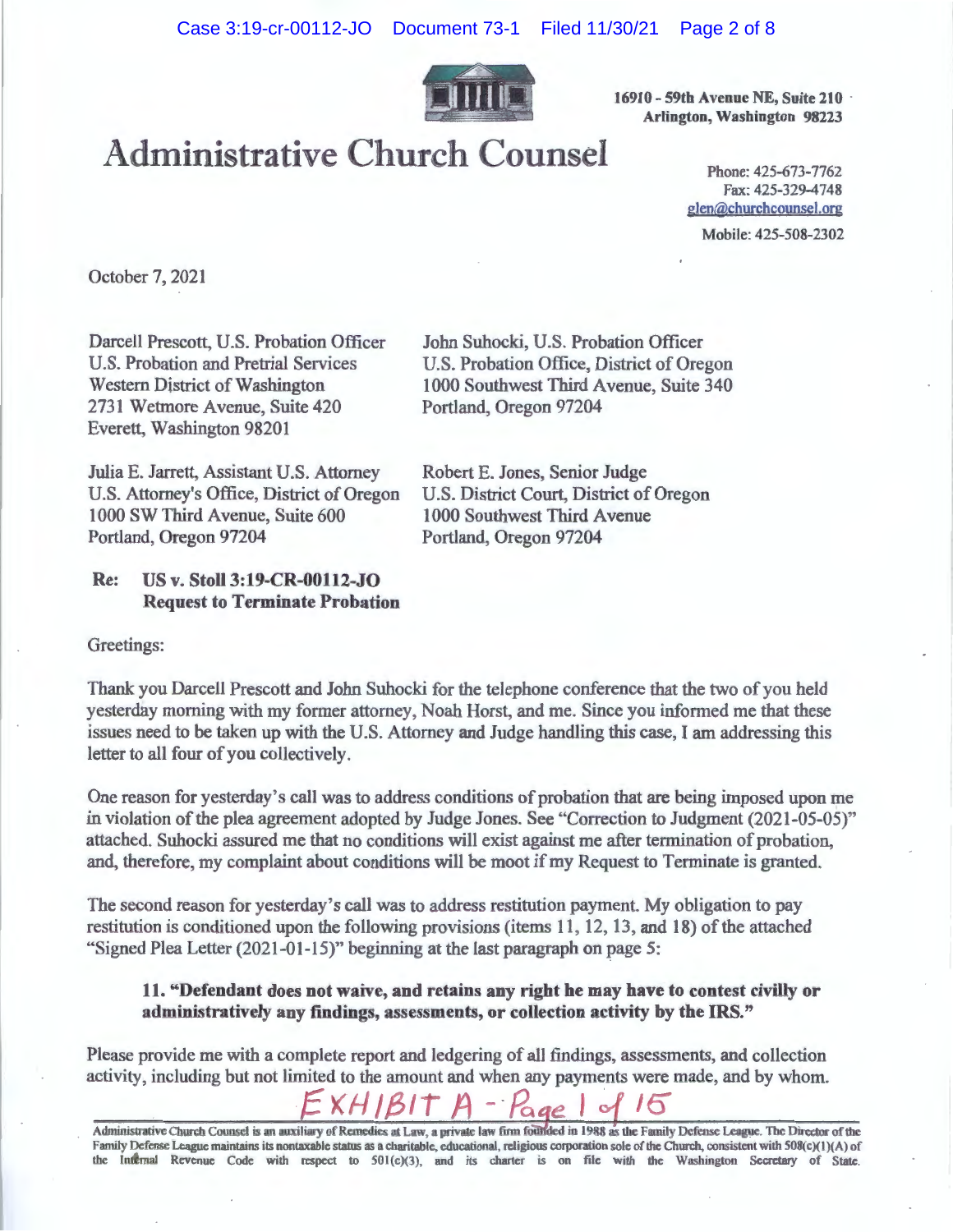

**16910- 59th Avenue NE, Suite 210** · **Arlington, Washington 98223** 

# Administrative Church Counsel

Fax: 425-329-4748 glen@churchcounsel.org Mobile: 425-508-2302

October 7, 2021

Darcell Prescott, U.S. Probation Officer U.S. Probation and Pretrial Services Western District of Washington 2731 Wetmore Avenue, Suite 420 Everett, Washington 98201

Julia E. Jarrett, Assistant U.S. Attorney U.S. Attorney's Office, District of Oregon 1000 SW Third Avenue, Suite 600 Portland, Oregon 97204

# **Re: US v. Stoll 3:19-CR-00112-JO Request to Terminate Probation**

John Suhocki, U.S. Probation Officer U.S. Probation Office, District of Oregon 1000 Southwest Third Avenue, Suite 340 Portland, Oregon 97204

Robert E. Jones, Senior Judge U.S. District Court, District of Oregon 1000 Southwest Third Avenue Portland, Oregon 97204

Greetings:

Thank you Darcell Prescott and John Suhocki for the telephone conference that the two of you held yesterday morning with my former attorney, Noah Horst, and me. Since you informed me that these issues need to be taken up with the U.S. Attorney and Judge handling this case, I am addressing this letter to all four of you collectively.

One reason for yesterday's call was to address conditions of probation that are being imposed upon me in violation of the plea agreement adopted by Judge Jones. See "Correction to Judgment (2021-05-05)" attached. Suhocki assured me that no conditions will exist against me after termination of probation, and, therefore, my complaint about conditions will be moot if my Request to Terminate is granted.

The second reason for yesterday's call was to address restitution payment. My obligation to pay restitution is conditioned upon the following provisions (items 11, 12, 13, and 18) of the attached "Signed Plea Letter (2021-01-15)" beginning at the last paragraph on page 5:

## **11. "Defendant does not waive, and retains any right be may have to contest civilly or administratively any findings, assessments, or collection activity by the ms."**

Please provide me with a complete report and ledgering of all findings, assessments, and collection activity, including but not limited to the amount and when any payments were made, and by whom.

*fxHJ/3/"t A -·Pae* I of 16

Administrative Church Counsel is an auxiliary of Remedies at Law, a private law firm founded in 1988 as the Family Defense League. The Director of the Family Defense League maintains its nontaxable status as a charitable, educational, religious corporation sole of the Church, consistent with 508(c)(1)(A) of the Internal Revenue Code with respect to 501(c)(3), and its charter is on file with the Washington Secretary of State.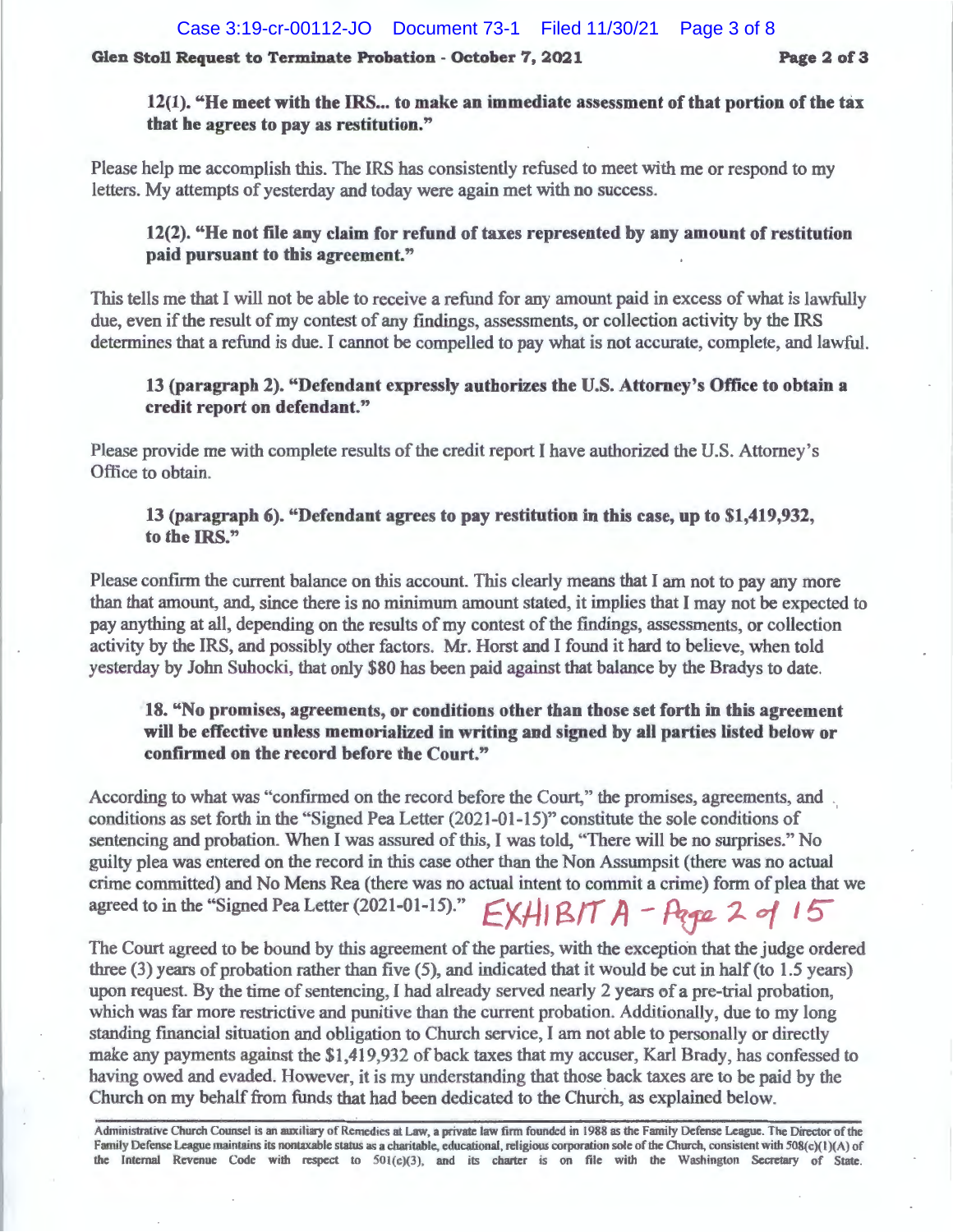#### **Glen Stoll Request to Terminate Probation - October 7, 2021 Page 2 of 3**

**12(1). "He meet with the** IRS ... **to make an immediate assessment of that portion of the tax that he agrees to pay as restitution."** 

Please help me accomplish this. The IRS has consistently refused to meet with me or respond to my letters. My attempts of yesterday and today were again met with no success.

### **12(2). "He not file any claim for refund of taxes represented by any amount of restitution paid pursuant to this agreement."**

This tells me that I will not be able to receive a refund for any amount paid in excess of what is lawfully due, even if the result of my contest of any findings, assessments, or collection activity by the IRS determines that a refund is due. I cannot be compelled to pay what is not accurate, complete, and lawful.

## **13 (paragraph 2). "Defendant expressly authorizes the U.S. Attorney's Office to obtain a credit report on defendant."**

Please provide me with complete results of the credit report I have authorized the U.S. Attorney's Office to obtain.

# **13 (paragraph 6). "Defendant agrees to pay restitution in this case, up to \$1,419,932, to the** IRS."

Please confirm the current balance on this account. This clearly means that I am not to pay any more than that amount, and, since there is no minimum amount stated, it implies that I may not be expected to pay anything at all, depending on the results of my contest of the findings, assessments, or collection activity by the IRS, and possibly other factors. Mr. Horst and I found it hard to believe, when told yesterday by John Suhocki, that only \$80 has been paid against that balance by the Bradys to date.

### **18. "No promises, agreements, or conditions other than those set forth in this agreement will be effective unless memorialized in writing and signed by all parties listed below or confirmed on the record before the Court."**

According to what was "confirmed on the record before the Court," the promises, agreements, and conditions as set forth in the "Signed Pea Letter (2021-01-15)" constitute the sole conditions of sentencing and probation. When I was assured of this, I was told, "There will be no surprises." No guilty plea was entered on the record in this case other than the Non Assumpsit (there was no actual crime committed) and No Mens Rea (there was no actual intent to commit a crime) form of plea that we agreed to in the "Signed Pea Letter (2021-01-15)." **EXHIBIT A** - **Page 2 of 15** 

The Court agreed to be bound by this agreement of the parties, with the exception that the judge ordered three (3) years of probation rather than five (5), and indicated that it would be cut in half (to 1.5 years) upon request. By the time of sentencing, I had already served nearly 2 years of a pre-trial probation, which was far more restrictive and punitive than the current probation. Additionally, due to my long standing financial situation and obligation to Church service, I am not able to personally or directly make any payments against the \$1 ,419,932 of back taxes that my accuser, Karl Brady, has confessed to having owed and evaded. However, it is my understanding that those back taxes are to be paid by the Church on my behalf from funds that had been dedicated to the Church, as explained below.

Administrative Church Counsel is an auxiliary of Remedies at Law, a private law firm founded in 1988 as the Family Defense League. The Director of the Family Defense League maintains its nontaxable status as a charitable, educational, religious corporation sole of the Church, consistent with 508(c)(1)(A) of the Internal Revenue Code with respect to 50l(c)(3), and its chaner is on file with the Washington Secretary of State.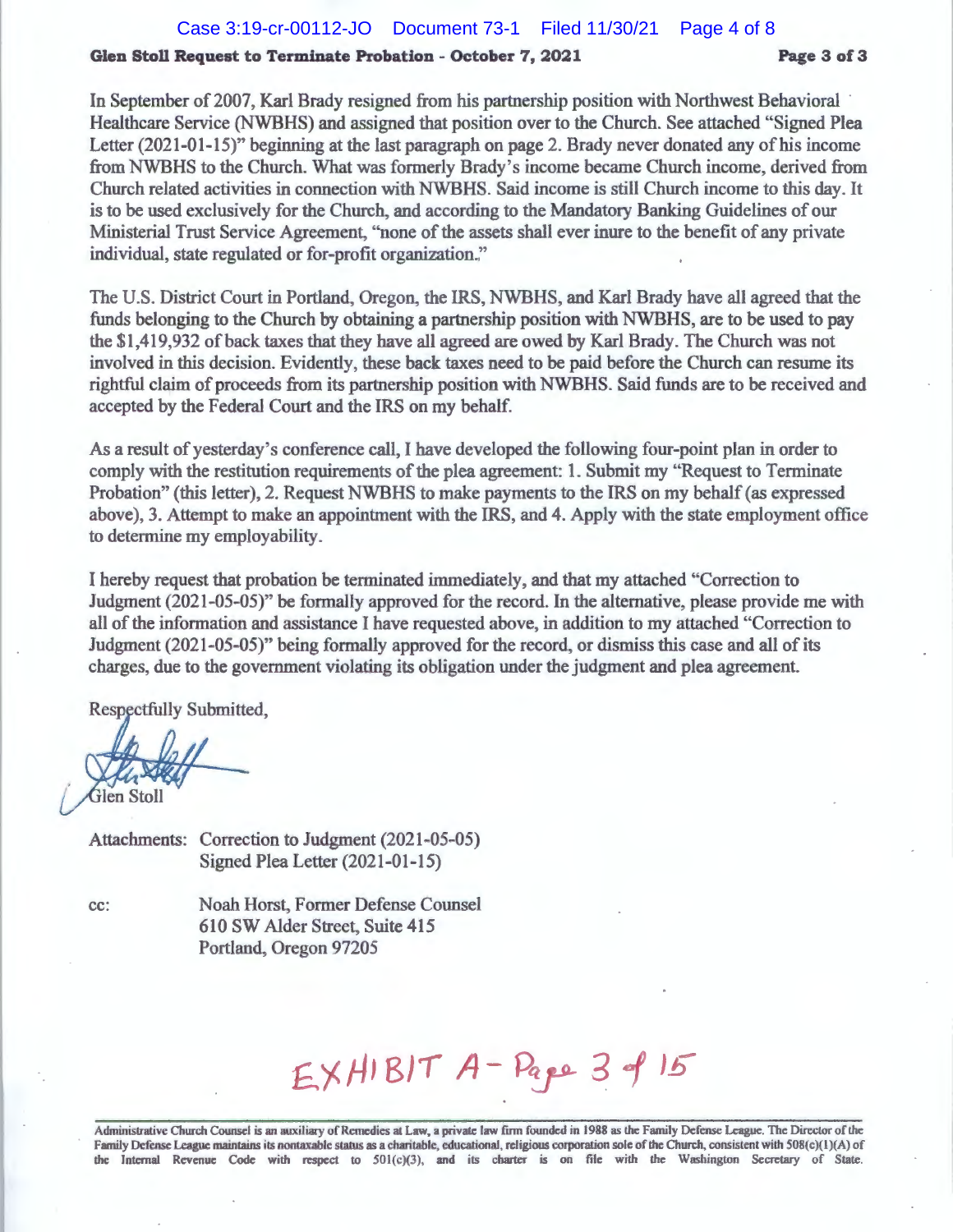#### **Glen Stoll Request to Terminate Probation - October 7, 2021 Page 3 of 3**

In September of 2007, Karl Brady resigned from his partnership position with Northwest Behavioral Healthcare Service (NWBHS) and assigned that position over to the Church. See attached "Signed Plea Letter (2021-01-15)" beginning at the last paragraph on page 2. Brady never donated any of his income from NWBHS to the Church. What was formerly Brady's income became Church income, derived from Church related activities in connection with **NWBHS.** Said income is still Church income to this day. It is to be used exclusively for the Church, and according to the Mandatory Banking Guidelines of our Ministerial Trust Service Agreement, "none of the assets shall ever inure to the benefit of any private individual, state regulated or for-profit organization."

The U.S. District Court in Portland, Oregon, the IRS, NWBHS, and Karl Brady have all agreed that the funds belonging to the Church by obtaining a partnership position with NWBHS, are to be used to pay the \$1,419,932 of back taxes that they have all agreed are owed by Karl Brady. The Church was not involved in this decision. Evidently, these back taxes need to be paid before the Church can resume its rightful claim of proceeds from its partnership position with NWBHS. Said funds are to be received and accepted by the Federal Court and the IRS on my behalf.

As a result of yesterday's conference call, I have developed the following four-point plan in order to comply with the restitution requirements of the plea agreement: 1. Submit my "Request to Terminate Probation" (this letter), 2. Request NWBHS to make payments to the IRS on my behalf (as expressed above), 3. Attempt to make an appointment with the IRS, and 4. Apply with the state employment office to determine my employability.

I hereby request that probation be terminated immediately, and that my attached "Correction to Judgment (2021-05-05)" be formally approved for the record. In the alternative, please provide me with all of the information and assistance I have requested above, in addition to my attached "Correction to Judgment (2021-05-05)" being formally approved for the record, or dismiss this case and all of its charges, due to the government violating its obligation under the judgment and plea agreement.

Respectfully Submitted,

Glen Stoll

Attachments: Correction to Judgment (2021-05-05) Signed Plea Letter (2021-01-15)

cc: Noah Horst, Former Defense Counsel 610 SW Alder Street, Suite 415 Portland, Oregon 97205

EXHIBIT A-Pape 3 of 15

Administrative Church Counsel is an auxiliary of Remedies al Law, a private law firm founded in 1988 as the Family Defense League. The Director of the Family Defense League maintains its nontaxable status as a charitable, educational, religious corporation sole of the Church, consistent with 508(c)(1)(A) of the Internal Revenue Code with respect to 501(c)(3), and its charter is on file with the Washington Secretary of State.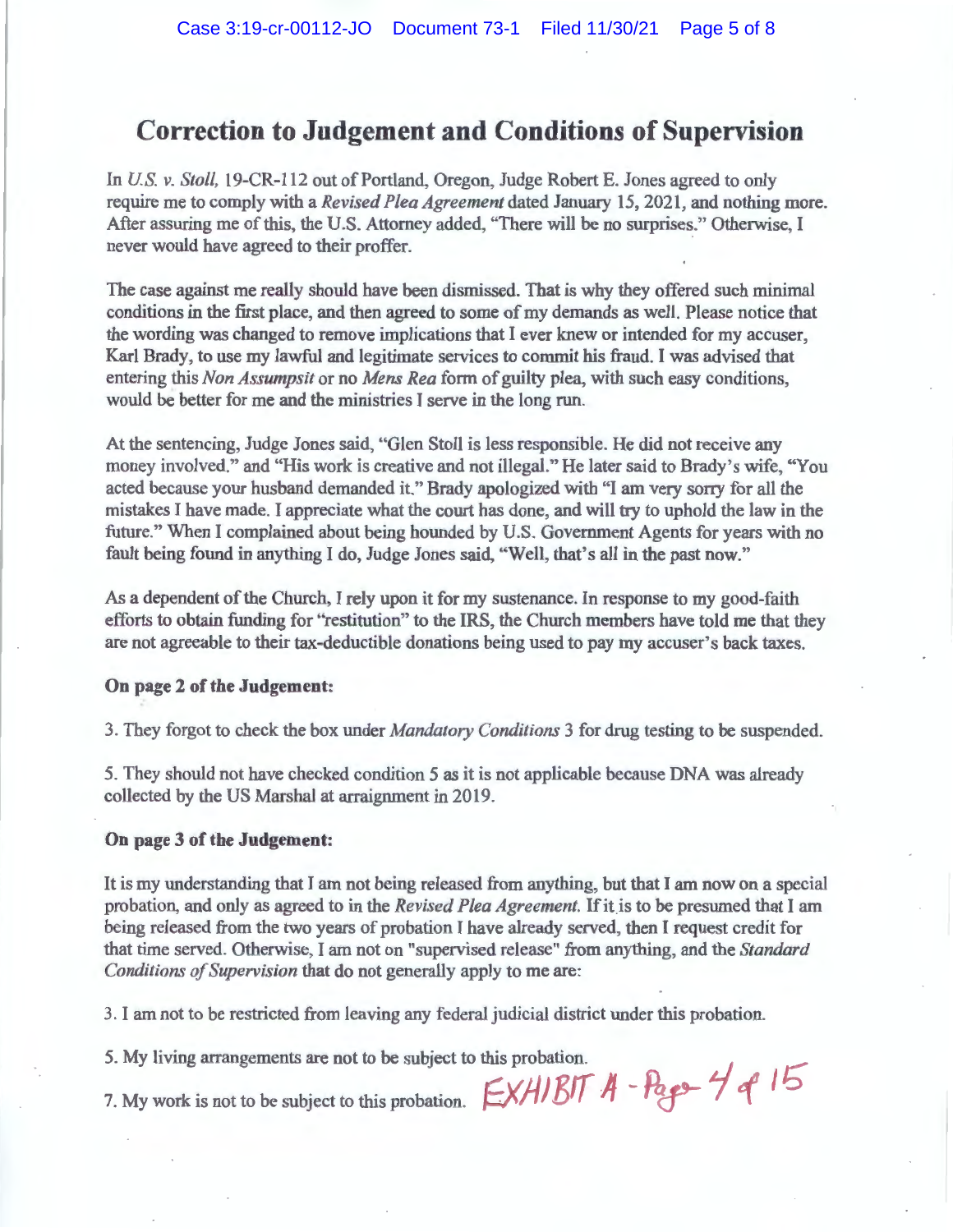# **Correction to Judgement and Conditions of Supervision**

In *US. v. Stoll,* 19-CR-112 out of Portland, Oregon, Judge Robert E. Jones agreed to only require me to comply with a *Revised Plea Agreement* dated January 15, 2021, and nothing more. After assuring me of this, the U.S. Attorney added, "There will be no surprises." Otherwise, I never would have agreed to their proffer.

The case against me really should have been dismissed. That is why they offered such minimal conditions in the first place, and then agreed to some of my demands as well. Please notice that the wording was changed to remove implications that I ever knew or intended for my accuser, Karl Brady, to use my lawful and legitimate services to commit his fraud. I was advised that entering this *Non Assumpsit* or no *Mens Rea* form of guilty plea, with such easy conditions, would be better for me and the ministries I serve in the long run.

At the sentencing, Judge Jones said, "Glen Stoll is less responsible. He did not receive any money involved." and "His work is creative and not illegal." He later said to Brady's wife, "You acted because your husband demanded it." Brady apologized with "I am very sorry for all the mistakes I have made. I appreciate what the court has done, and will try to uphold the law in the future." When I complained about being hounded by U.S. Government Agents for years with no fault being found in anything I do, Judge Jones said, "Well, that's all in the past now."

As a dependent of the Church, I rely upon it for my sustenance. In response to my good-faith efforts to obtain funding for "restitution" to the IRS, the Church members have told me that they are not agreeable to their tax-deductible donations being used to pay my accuser's back taxes.

#### **On page 2 of the Judgement:**

3. They forgot to check the box under *Mandatory Conditions* 3 for drug testing to be suspended.

5. They should not have checked condition 5 as it is not applicable because DNA was already collected by the US Marshal at arraignment in 2019.

#### **On page 3 of the Judgement:**

It is my understanding that I am not being released from anything, but that I am now on a special probation, and only as agreed to in the *Revised Plea Agreement.* If itis to be presumed that I am being released from the two years of probation I have already served, then I request credit for that time served. Otherwise, I am not on "supervised release" from anything, and the *Standard Conditions of Supervision* that do not generally apply to me are:

3. I am not to be restricted from leaving any federal judicial district under this probation.

5. My living arrangements are not to be subject to this probation.<br>7. My work is not to be subject to this probation.  $\frac{\sum x A/B}{}^T A - P_{\alpha} \frac{\sum x A}{|B|}{}^T A$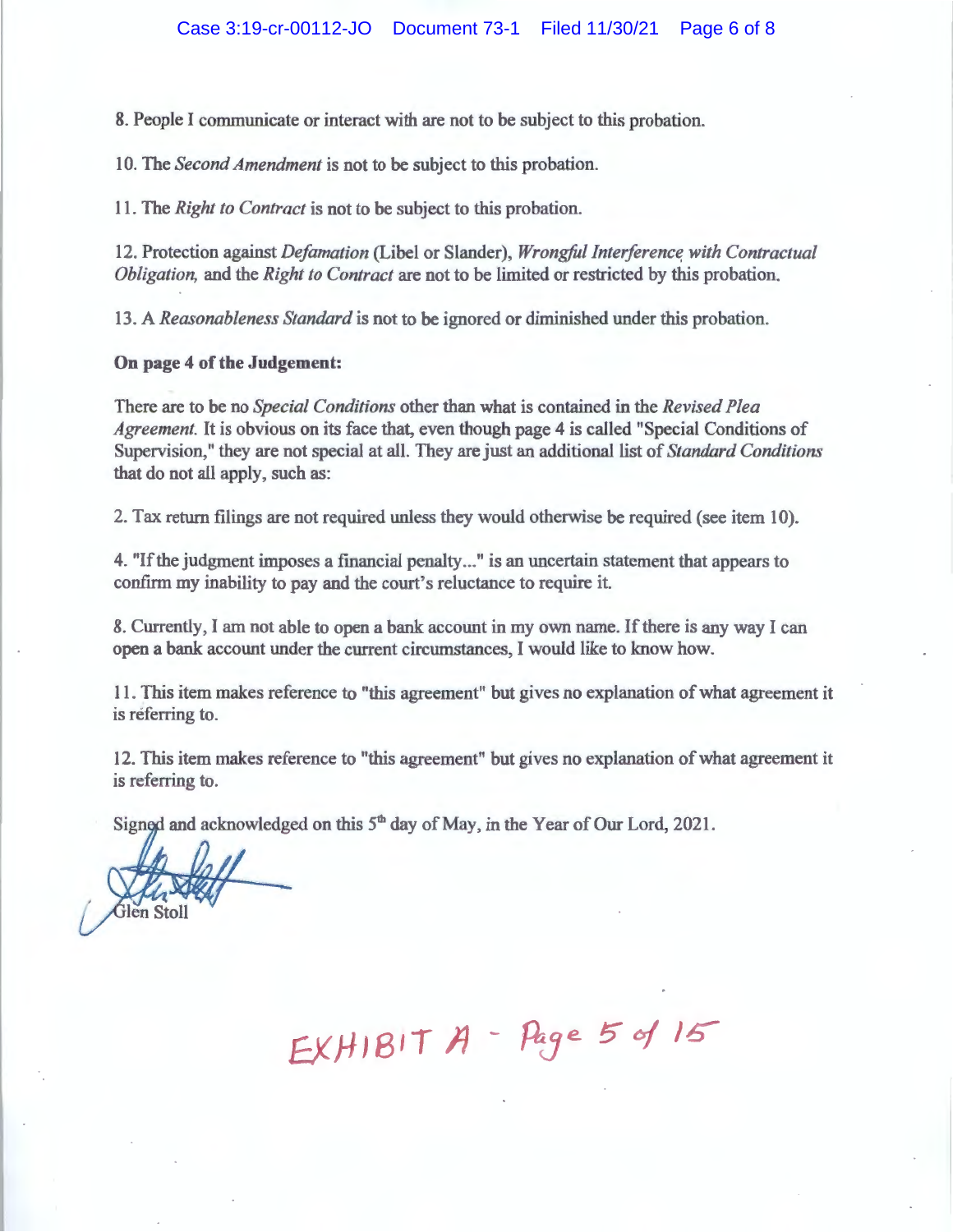8. People I communicate or interact with are not to be subject to this probation.

10. The *Second Amendment* is not to be subject to this probation.

11. The *Right to Contract* is not to be subject to this probation.

12. Protection against *Defamation* (Libel or Slander), *Wrongful Interference with Contractual Obligation,* and the *Right to Contract* are not to be limited or restricted by this probation.

13. A *Reasonableness Standard* is not to be ignored or diminished under this probation.

#### **On page 4 of the Judgement:**

There are to be no *Special Conditions* other than what is contained in the *Revised Plea Agreement.* It is obvious on its face that, even though page 4 is called "Special Conditions of Supervision," they are not special at all. They are just an additional list of *Standard Conditions*  that do not all apply, such as:

2. Tax return filings are not required unless they would otherwise be required (see item 10).

4. "If the judgment imposes a financial penalty ... " is an uncertain statement that appears to confirm my inability to pay and the court's reluctance to require it.

8. Currently, I am not able to open a bank account in my own name. If there is any way I can open a bank account under the current circumstances, I would like to know how.

11. This item makes reference to "this agreement" but gives no explanation of what agreement it is referring to.

12. This item makes reference to "this agreement" but gives no explanation of what agreement it is referring to.

Signed and acknowledged on this  $5<sup>th</sup>$  day of May, in the Year of Our Lord, 2021.

ilen Stoll

 $EXH1B1T A - Page 5 of 15$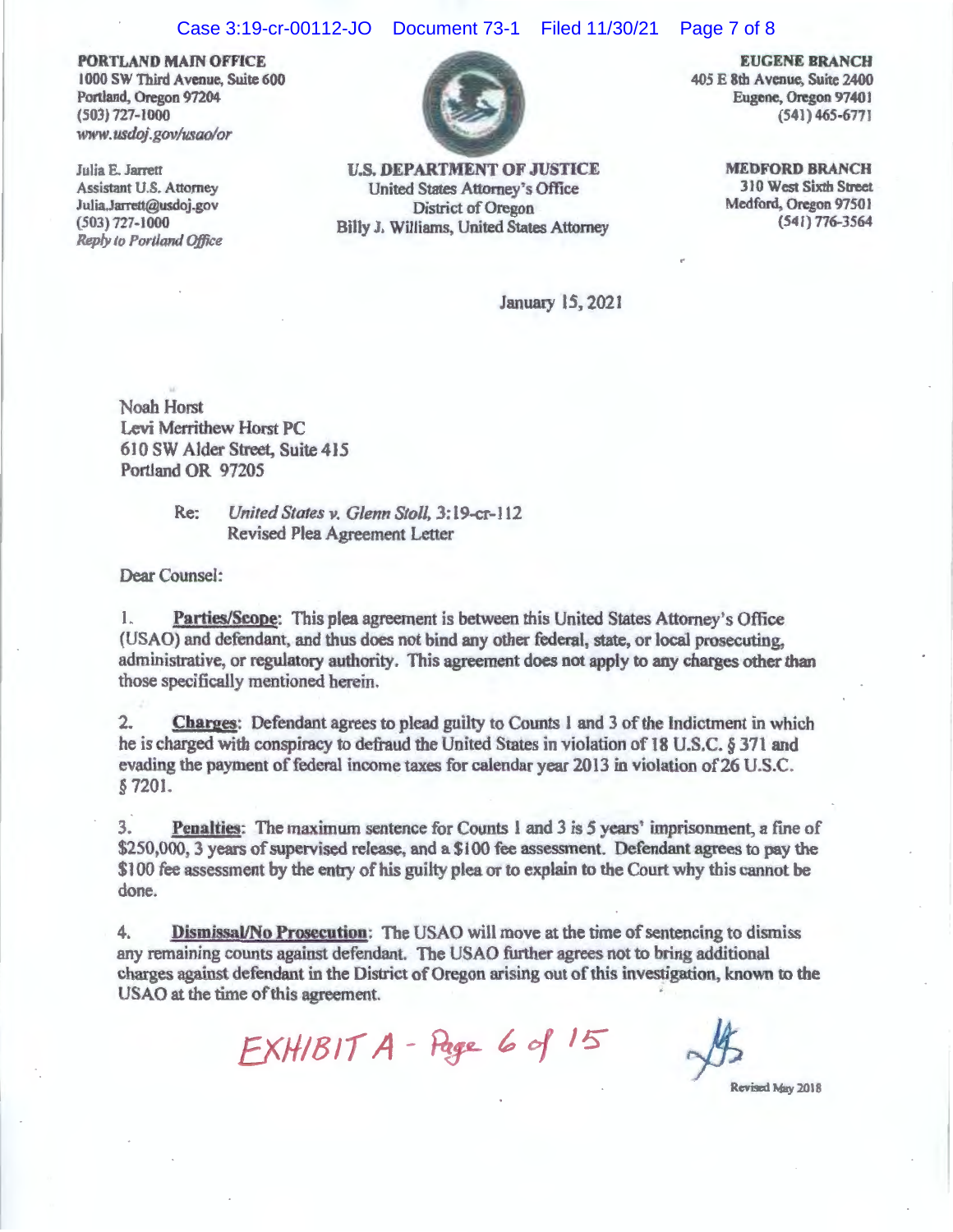#### Case 3:19-cr-00112-JO Document 73-1 Filed 11/30/21 Page 7 of 8

**PORTLAND MAIN OFFICE**  1000 SW Third Avenue, Suite 600 Portland, Oregon 97204 (503) 727-1000 www.usdoj.gov/usao/or

Julia E. Jarrett Assistant U.S. Attorney Julia.Jarrett@usdoj.gov 503) 727-1000 *Reply to Portland Office* 



**U.S. DEPARTMENT OF JUSTICE**  United States Attorney's Office District of Oregon Billy J, Williams, United States Attorney

**EUGENE BRANCH**  405 E 8th Avenue, Suite 2400 Eugene, Oregon 97401 {541) 465-677 I

> **MEDFORD BRANCH**  310 West Sixth Street Medford, Oregon 97501 (541} 776-3564

January 15, 2021

Noah Horst Levi Merrithew Horst PC 6 JO SW Alder Street, Suite 415 Portland OR 97205

> Re: *United States v. Glenn Stoll, 3:19-cr-112* Revised Plea Agreement Letter

Dear Counsel:

l. **Parties/Scope:** This plea agreement is between this United States Attorney's Office (USAO) and defendant, and thus does not bind any other federal, state, or local prosecuting. administrative, or regulatory authority. This agreement does not apply to any charges other than those specifically mentioned herein.

2. **Charges:** Defendant agrees to plead guilty to Counts 1 and 3 of the Indictment in which he is charged with conspiracy to defraud the United States in violation of 18 U.S.C. § 371 and evading the payment of federal income taxes for calendar year 2013 in violation of 26 U.S.C. § 7201.

3. **Penalties:** The maximum sentence for Counts 1 and 3 is 5 years' imprisonment, a fine of \$250,000, 3 years of supervised release, and a \$100 fee assessment. Defendant agrees to pay the \$100 fee assessment by the entry of his guilty plea or to explain to the Court why this cannot be done.

4. **Dismissal/No Prosecution;** The USAO will move at the time of sentencing to dismiss any remaining counts against defendant. The USAO further agrees not to bring additional charges against defendant in the District of Oregon arising out of this investigation, known to the USAO at the time of this agreement.

 $EXH/BITA - Page 6 of 15$   $\frac{14}{15}$